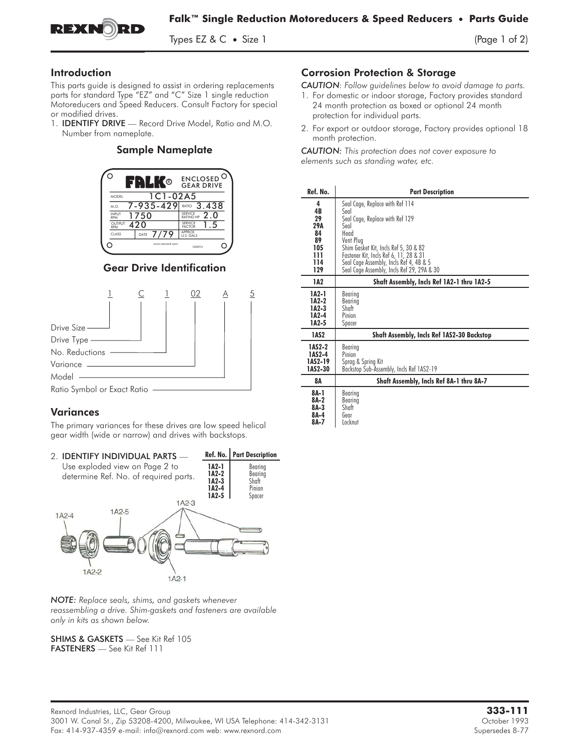

Types EZ & C • Size 1  $(\text{Page 1 of 2})$ 

## Introduction

This parts guide is designed to assist in ordering replacements parts for standard Type "EZ" and "C" Size 1 single reduction Motoreducers and Speed Reducers. Consult Factory for special This parts guide is designed to assist in ordering replacements<br>parts for standard Type "EZ" and "C" Size 1 single reduction<br>Motoreducers and Speed Reducers. Consult Factory for specia<br>or modified drives.<br>1. **IDENTIFY DRIV** 

or modified drives.<br>1. **IDENTIFY DRIVE** — Record Drive Model, Ratio and M.O. Number from nameplate.

#### **Sample Nameplate**



#### **Gear Drive Identification**



# **Variances**

The primary variances for these drives are low speed helical gear width (wide or narrow) and drives with backstops.



*NOTE: Replace seals, shims, and gaskets whenever reassembling a drive. Shim-gaskets and fasteners are available only in kits as shown below.*

SHIMS & GASKETS — See Kit Ref 105 FASTENERS — See Kit Ref 111

## Corrosion Protection & Storage

*CAUTION: Follow guidelines below to avoid damage to parts.*

- 1. For domestic or indoor storage, Factory provides standard 24 month protection as boxed or optional 24 month protection for individual parts.
- 2. For export or outdoor storage, Factory provides optional 18 month protection.

*CAUTION: This protection does not cover exposure to elements such as standing water, etc.*

| Ref. No. | <b>Part Description</b>                           |
|----------|---------------------------------------------------|
| 4        | Seal Cage, Replace with Ref 114                   |
| 4B       | Seal                                              |
| 29       | Seal Cage, Replace with Ref 129                   |
| 29A      | Seal                                              |
| 84       | Hend                                              |
| 89       | Vent Plua                                         |
| 105      | Shim Gasket Kit, Incls Ref 5, 30 & 82             |
| 111      | Fastener Kit, Incls Ref 6, 11, 28 & 31            |
| 114      | Seal Cage Assembly, Incls Ref 4, 4B & 5           |
| 129      | Seal Cage Assembly, Incls Ref 29, 29A & 30        |
| 1A2      | Shaft Assembly, Incls Ref 1A2-1 thru 1A2-5        |
| 1A2-1    | Bearing                                           |
| 1A2-2    | Bearing                                           |
| 1A2-3    | Shaft                                             |
| 1A2-4    | Pinion                                            |
| 1A2-5    | Spacer                                            |
| 1AS2     | <b>Shaft Assembly, Incls Ref 1AS2-30 Backstop</b> |
| 1AS2-2   | Bearina                                           |
| 1AS2-4   | Pinion                                            |
| 1AS2-19  | Sprag & Spring Kit                                |
| 1AS2-30  | Backstop Sub-Assembly, Incls Ref 1AS2-19          |
| 8А       | Shaft Assembly, Incls Ref 8A-1 thru 8A-7          |
| 8A-1     | Bearing                                           |
| $8A-2$   | Bearing                                           |
| $8A-3$   | Shaft                                             |
| 8A-4     | Gear                                              |
| 8A-7     | Locknut                                           |